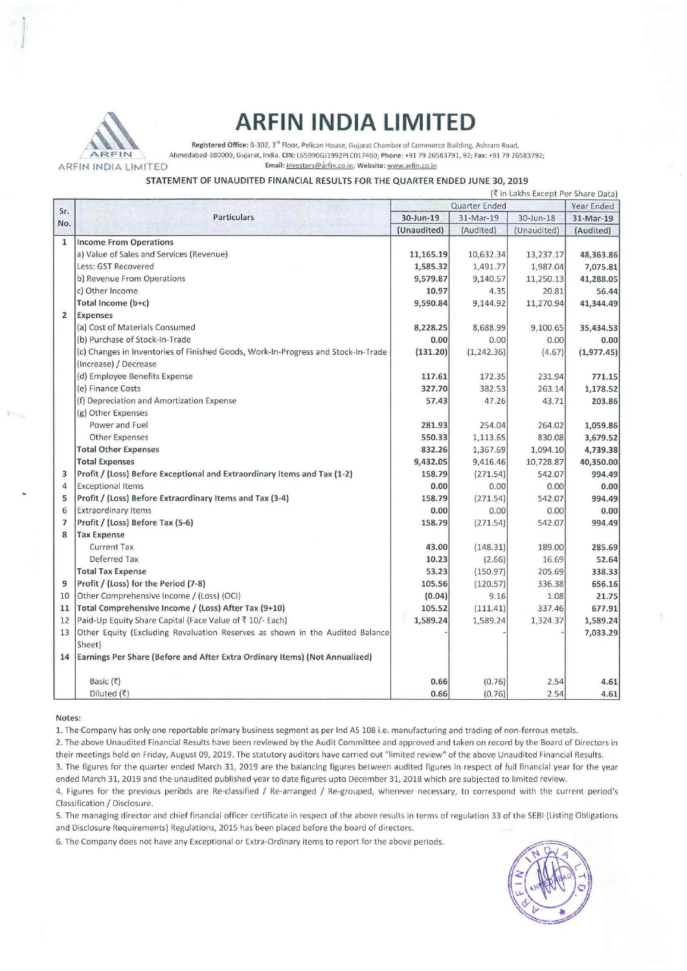

# **ARFIN INDIA LIMITED**

Registered Office: B 302, 3'" Floor, Pelican House, Gujarat Chamber of Commerce Building, Ashram Road, ARFIN Ahmedabad-380009, Gujarat, India. CIN: L65990GJ1992PLC017460; Phone: +91 79 26583791, 92; Fax: +91 79 26583792;<br>ARFIN INDIA LIMITED Email: <u>investors@arfin.co.in</u>; Website: <u>www.arfin.co.in</u> Email: investors@arfin.co.in; Website: www.arfin.co.in

### STATEMENT OF UNAUDITED FINANCIAL RESULTS FOR THE QUARTER ENDED JUNE 30, 2019

|                | (₹ in Lakhs Except Per Share Data)                                                |               |            |             |             |  |
|----------------|-----------------------------------------------------------------------------------|---------------|------------|-------------|-------------|--|
| Sr.            |                                                                                   | Quarter Ended |            |             | Year Ended  |  |
| No.            | <b>Particulars</b>                                                                | 30-Jun-19     | 31-Mar-19  | 30-Jun-18   | 31-Mar-19   |  |
|                |                                                                                   | (Unaudited)   | (Audited)  | (Unaudited) | (Audited)   |  |
| $\mathbf{1}$   | <b>Income From Operations</b>                                                     |               |            |             |             |  |
|                | a) Value of Sales and Services (Revenue)                                          | 11,165.19     | 10,632.34  | 13,237.17   | 48,363.86   |  |
|                | Less: GST Recovered                                                               | 1,585.32      | 1,491.77   | 1,987.04    | 7,075.81    |  |
|                | b) Revenue From Operations                                                        | 9,579.87      | 9,140.57   | 11,250.13   | 41,288.05   |  |
|                | c) Other Income                                                                   | 10.97         | 4.35       | 20.81       | 56.44       |  |
|                | Total Income (b+c)                                                                | 9,590.84      | 9,144.92   | 11,270.94   | 41,344.49   |  |
| $\overline{2}$ | <b>Expenses</b>                                                                   |               |            |             |             |  |
|                | (a) Cost of Materials Consumed                                                    | 8,228.25      | 8,688.99   | 9,100.65    | 35,434.53   |  |
|                | (b) Purchase of Stock-In-Trade                                                    | 0.00          | 0.00       | 0.00        | 0.00        |  |
|                | (c) Changes in Inventories of Finished Goods, Work-In-Progress and Stock-In-Trade | (131.20)      | (1,242.36) | (4.67)      | (1, 977.45) |  |
|                | (Increase) / Decrease                                                             |               |            |             |             |  |
|                | (d) Employee Benefits Expense                                                     | 117.61        | 172.35     | 231.94      | 771.15      |  |
|                | (e) Finance Costs                                                                 | 327.70        | 382.53     | 263.14      | 1,178.52    |  |
|                | (f) Depreciation and Amortization Expense                                         | 57.43         | 47.26      | 43.71       | 203.86      |  |
|                | (g) Other Expenses                                                                |               |            |             |             |  |
|                | Power and Fuel                                                                    | 281.93        | 254.04     | 264.02      | 1,059.86    |  |
|                | <b>Other Expenses</b>                                                             | 550.33        | 1,113.65   | 830.08      | 3,679.52    |  |
|                | <b>Total Other Expenses</b>                                                       | 832.26        | 1,367.69   | 1,094.10    | 4,739.38    |  |
|                | <b>Total Expenses</b>                                                             | 9,432.05      | 9,416.46   | 10,728.87   | 40,350.00   |  |
| 3              | Profit / (Loss) Before Exceptional and Extraordinary Items and Tax (1-2)          | 158.79        | (271.54)   | 542.07      | 994.49      |  |
| 4              | <b>Exceptional Items</b>                                                          | 0.00          | 0.00       | 0.00        | 0.00        |  |
| 5              | Profit / (Loss) Before Extraordinary Items and Tax (3-4)                          | 158.79        | (271.54)   | 542.07      | 994.49      |  |
| 6              | <b>Extraordinary Items</b>                                                        | 0.00          | 0.00       | 0.00        | 0.00        |  |
| $\overline{7}$ | Profit / (Loss) Before Tax (5-6)                                                  | 158.79        | (271.54)   | 542.07      | 994.49      |  |
| 8              | <b>Tax Expense</b>                                                                |               |            |             |             |  |
|                | <b>Current Tax</b>                                                                | 43.00         | (148.31)   | 189.00      | 285.69      |  |
|                | Deferred Tax                                                                      | 10.23         | (2.66)     | 16.69       | 52.64       |  |
|                | <b>Total Tax Expense</b>                                                          | 53.23         | (150.97)   | 205.69      | 338.33      |  |
| 9              | Profit / (Loss) for the Period (7-8)                                              | 105.56        | (120.57)   | 336.38      | 656.16      |  |
| 10             | Other Comprehensive Income / (Loss) (OCI)                                         | (0.04)        | 9.16       | 1.08        | 21.75       |  |
| 11             | Total Comprehensive Income / (Loss) After Tax (9+10)                              | 105.52        | (111.41)   | 337.46      | 677.91      |  |
| 12             | Paid-Up Equity Share Capital (Face Value of ₹ 10/- Each)                          | 1,589.24      | 1,589.24   | 1,324.37    | 1,589.24    |  |
| 13             | Other Equity (Excluding Revaluation Reserves as shown in the Audited Balance      |               |            |             | 7,033.29    |  |
|                | Sheet)                                                                            |               |            |             |             |  |
| 14             | Earnings Per Share (Before and After Extra Ordinary Items) (Not Annualized)       |               |            |             |             |  |
|                | Basic (₹)                                                                         | 0.66          | (0.76)     | 2.54        | 4.61        |  |
|                | Diluted (₹)                                                                       | 0.66          | (0.76)     | 2.54        | 4.61        |  |

#### Notes:

1. The Company has only one reportable primary business segment as per lnd AS 108 i.e. manufacturing and trading of non-ferrous metals.

2. The above Unaudited Financial Results have been reviewed by the Audit Committee and approved and taken on record by the Board of Directors in their meetings held on Friday, August 09, 2019. The statutory auditors have carried out "limited review" of the above Unaudited Financial Results.

3. The figures for the quarter ended March 31, 2019 are the balancing figures between audited figures in respect of full financial year for the year ended March 31, 2019 and the unaudited published year to date figures upto December 31, 2018 which are subjected to limited review.

4. Figures for the previous periods are Re-classified / Re-arranged / Re-grouped, wherever necessary, to correspond with the current period's Classification / Disclosure.

5. The managing director and chief financial officer certificate in respect of the above results in terms of regulation 33 of the SEBI (Listing Obligations and Disclosure Requirements) Regulations, 2015 has been placed before the board of directors.

6. The Company does not have any Exceptional or Extra-Ordinary items to report for the above periods.

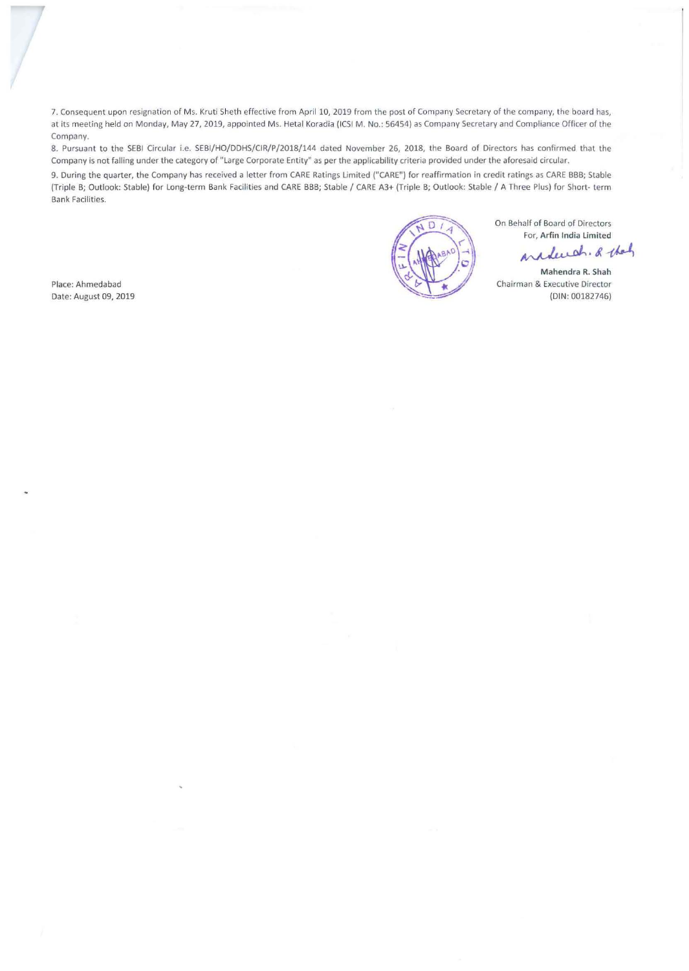7. Consequent upon resignation of Ms. Kruti Sheth effective from April 10, 2019 from the post of Company Secretary of the company, the board has, at its meeting held on Monday, May 27, 2019, appointed Ms. Hetal Koradia (ICSI M. No.: 56454) as Company Secretary and Compliance Officer of the Company.

8. Pursuant to the SEBI Circular i.e. SEBI/HO/DDHS/CIR/P/2018/144 dated November 26, 2018, the Board of Directors has confirmed that the Company is not falling under the category of "large Corporate Entity" as per the applicability criteria provided under the aforesaid circular.

9. During the quarter, the Company has received a letter from CARE Ratings limited ("CARE") for reaffirmation in credit ratings as CARE BBB; Stable (Triple B; Outlook: Stable) for Long-term Bank Facilities and CARE BBB; Stable / CARE A3+ (Triple B; Outlook: Stable / A Three Plus) for Short- term Bank Facilities.

n

On Behalf of Board of Directors For, Arfin India limited aradevah. & they

Mahendra R. Shah Chairman & Executive Director (DIN: 00182746)

Place: Ahmedabad Date: August 09, 2019